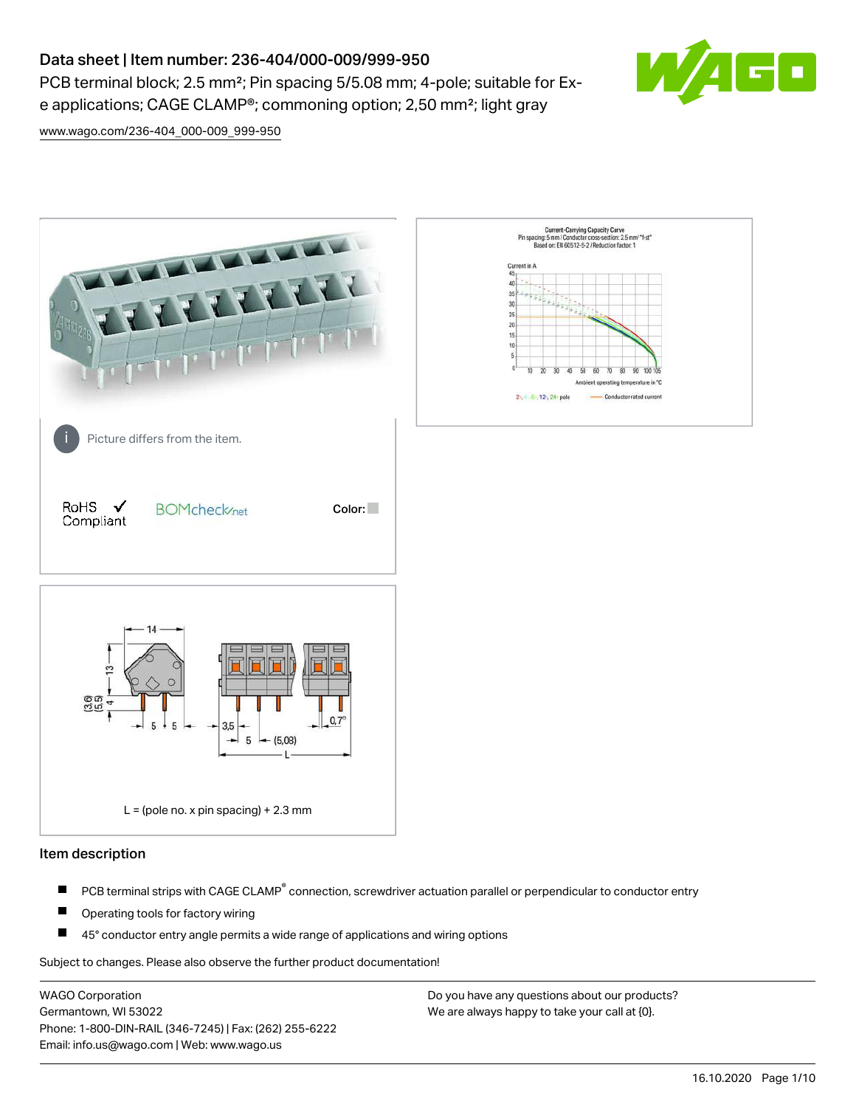# Data sheet | Item number: 236-404/000-009/999-950

PCB terminal block; 2.5 mm<sup>2</sup>; Pin spacing 5/5.08 mm; 4-pole; suitable for Exe applications; CAGE CLAMP®; commoning option; 2,50 mm²; light gray



[www.wago.com/236-404\\_000-009\\_999-950](http://www.wago.com/236-404_000-009_999-950)



#### Item description

- PCB terminal strips with CAGE CLAMP<sup>®</sup> connection, screwdriver actuation parallel or perpendicular to conductor entry П
- П Operating tools for factory wiring
- П 45° conductor entry angle permits a wide range of applications and wiring options

Subject to changes. Please also observe the further product documentation!

WAGO Corporation Germantown, WI 53022 Phone: 1-800-DIN-RAIL (346-7245) | Fax: (262) 255-6222 Email: info.us@wago.com | Web: www.wago.us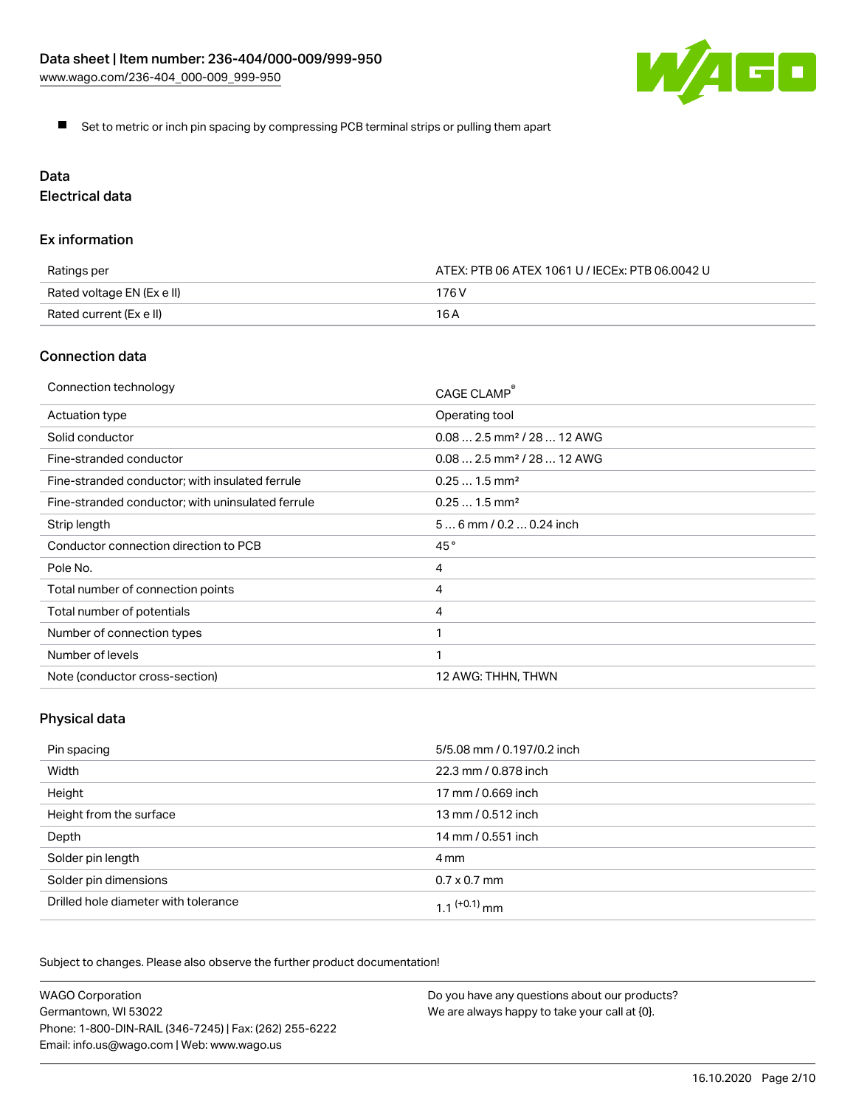

Set to metric or inch pin spacing by compressing PCB terminal strips or pulling them apart

# Data

Electrical data

## Ex information

| Ratings per                | ATEX: PTB 06 ATEX 1061 U / IECEx: PTB 06.0042 U |  |
|----------------------------|-------------------------------------------------|--|
| Rated voltage EN (Ex e II) | 176 V                                           |  |
| Rated current (Ex e II)    | 16 A                                            |  |

## Connection data

| Connection technology                             | CAGE CLAMP®                            |
|---------------------------------------------------|----------------------------------------|
| Actuation type                                    | Operating tool                         |
| Solid conductor                                   | $0.082.5$ mm <sup>2</sup> / 28  12 AWG |
| Fine-stranded conductor                           | $0.082.5$ mm <sup>2</sup> / 28  12 AWG |
| Fine-stranded conductor; with insulated ferrule   | $0.251.5$ mm <sup>2</sup>              |
| Fine-stranded conductor; with uninsulated ferrule | $0.251.5$ mm <sup>2</sup>              |
| Strip length                                      | $56$ mm / 0.2 $$ 0.24 inch             |
| Conductor connection direction to PCB             | 45°                                    |
| Pole No.                                          | 4                                      |
| Total number of connection points                 | 4                                      |
| Total number of potentials                        | 4                                      |
| Number of connection types                        |                                        |
| Number of levels                                  | 1                                      |
| Note (conductor cross-section)                    | 12 AWG: THHN, THWN                     |

# Physical data

| Pin spacing                          | 5/5.08 mm / 0.197/0.2 inch |
|--------------------------------------|----------------------------|
| Width                                | 22.3 mm / 0.878 inch       |
| Height                               | 17 mm / 0.669 inch         |
| Height from the surface              | 13 mm / 0.512 inch         |
| Depth                                | 14 mm / 0.551 inch         |
| Solder pin length                    | 4 mm                       |
| Solder pin dimensions                | $0.7 \times 0.7$ mm        |
| Drilled hole diameter with tolerance | $1.1$ $(+0.1)$ mm          |

Subject to changes. Please also observe the further product documentation!

| <b>WAGO Corporation</b>                                | Do you have any questions about our products? |
|--------------------------------------------------------|-----------------------------------------------|
| Germantown, WI 53022                                   | We are always happy to take your call at {0}. |
| Phone: 1-800-DIN-RAIL (346-7245)   Fax: (262) 255-6222 |                                               |
| Email: info.us@wago.com   Web: www.wago.us             |                                               |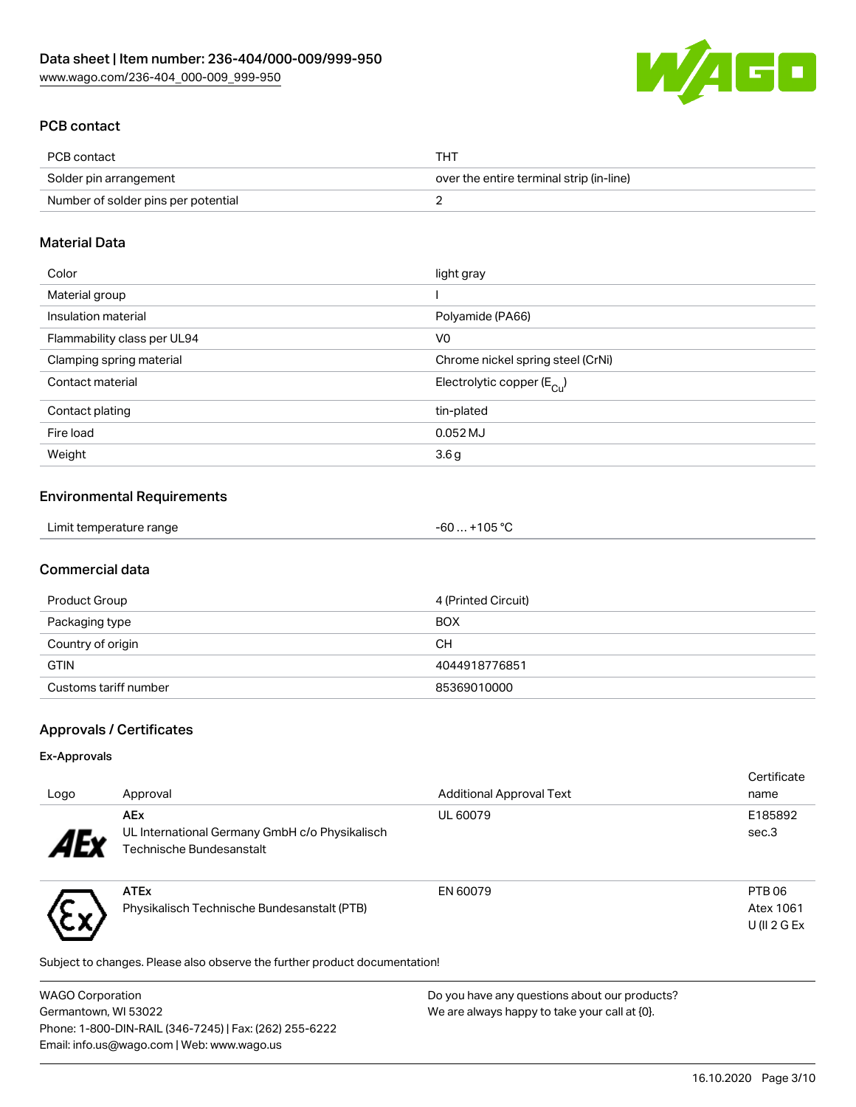

# PCB contact

| PCB contact                         | THT                                      |
|-------------------------------------|------------------------------------------|
| Solder pin arrangement              | over the entire terminal strip (in-line) |
| Number of solder pins per potential |                                          |

# Material Data

| Color                       | light gray                              |
|-----------------------------|-----------------------------------------|
| Material group              |                                         |
| Insulation material         | Polyamide (PA66)                        |
| Flammability class per UL94 | V <sub>0</sub>                          |
| Clamping spring material    | Chrome nickel spring steel (CrNi)       |
| Contact material            | Electrolytic copper ( $E_{\text{Cu}}$ ) |
| Contact plating             | tin-plated                              |
| Fire load                   | 0.052 MJ                                |
| Weight                      | 3.6g                                    |

#### Environmental Requirements

# Commercial data

| Product Group         | 4 (Printed Circuit) |
|-----------------------|---------------------|
| Packaging type        | <b>BOX</b>          |
| Country of origin     | CН                  |
| <b>GTIN</b>           | 4044918776851       |
| Customs tariff number | 85369010000         |

# Approvals / Certificates

### Ex-Approvals

いん

| Logo                      | Approval                                                     | <b>Additional Approval Text</b> | Certificate<br>name |
|---------------------------|--------------------------------------------------------------|---------------------------------|---------------------|
| $\boldsymbol{A}$ Exponent | <b>AEx</b><br>UL International Germany GmbH c/o Physikalisch | UL 60079                        | E185892<br>sec.3    |
|                           | Technische Bundesanstalt                                     |                                 |                     |
|                           | <b>ATEx</b>                                                  | EN 60079                        | PTB <sub>06</sub>   |
|                           | Physikalisch Technische Bundesanstalt (PTB)                  |                                 | Atex 1061           |
|                           |                                                              |                                 | U(II 2 G Ex         |

Subject to changes. Please also observe the further product documentation!

| <b>WAGO Corporation</b>                                | Do you have any questions about our products? |
|--------------------------------------------------------|-----------------------------------------------|
| Germantown, WI 53022                                   | We are always happy to take your call at {0}. |
| Phone: 1-800-DIN-RAIL (346-7245)   Fax: (262) 255-6222 |                                               |
| Email: info.us@wago.com   Web: www.wago.us             |                                               |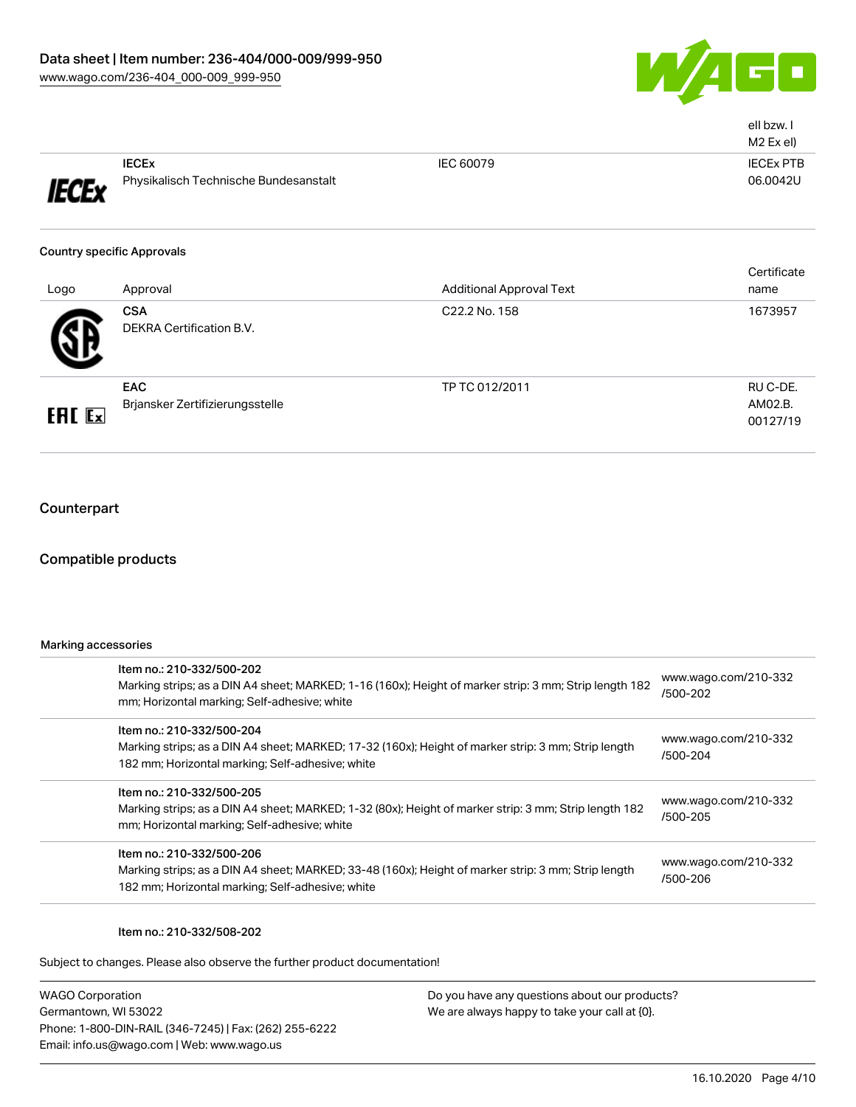

|               |                                       |                                 | ell bzw. I<br>M2 Ex el) |
|---------------|---------------------------------------|---------------------------------|-------------------------|
|               | <b>IECEX</b>                          | IEC 60079                       | <b>IECEX PTB</b>        |
| <b>IECEx</b>  | Physikalisch Technische Bundesanstalt |                                 | 06.0042U                |
|               | <b>Country specific Approvals</b>     |                                 |                         |
|               |                                       |                                 | Certificate             |
| Logo          | Approval                              | <b>Additional Approval Text</b> | name                    |
|               | <b>CSA</b>                            | C22.2 No. 158                   | 1673957                 |
|               | <b>DEKRA Certification B.V.</b>       |                                 |                         |
|               | EAC                                   | TP TC 012/2011                  | RU C-DE.                |
|               | Brjansker Zertifizierungsstelle       |                                 | AM02.B.                 |
| <b>ERE</b> Ex |                                       |                                 | 00127/19                |

# **Counterpart**

## Compatible products

| Marking accessories |                                                                                                                                                                                      |                                  |  |
|---------------------|--------------------------------------------------------------------------------------------------------------------------------------------------------------------------------------|----------------------------------|--|
|                     | Item no.: 210-332/500-202<br>Marking strips; as a DIN A4 sheet; MARKED; 1-16 (160x); Height of marker strip: 3 mm; Strip length 182<br>mm; Horizontal marking; Self-adhesive; white  | www.wago.com/210-332<br>/500-202 |  |
|                     | Item no.: 210-332/500-204<br>Marking strips; as a DIN A4 sheet; MARKED; 17-32 (160x); Height of marker strip: 3 mm; Strip length<br>182 mm; Horizontal marking; Self-adhesive; white | www.wago.com/210-332<br>/500-204 |  |
|                     | Item no.: 210-332/500-205<br>Marking strips; as a DIN A4 sheet; MARKED; 1-32 (80x); Height of marker strip: 3 mm; Strip length 182<br>mm; Horizontal marking; Self-adhesive; white   | www.wago.com/210-332<br>/500-205 |  |
|                     | Item no.: 210-332/500-206<br>Marking strips; as a DIN A4 sheet; MARKED; 33-48 (160x); Height of marker strip: 3 mm; Strip length<br>182 mm; Horizontal marking; Self-adhesive; white | www.wago.com/210-332<br>/500-206 |  |
|                     |                                                                                                                                                                                      |                                  |  |

### Item no.: 210-332/508-202

Subject to changes. Please also observe the further product documentation!

WAGO Corporation Germantown, WI 53022 Phone: 1-800-DIN-RAIL (346-7245) | Fax: (262) 255-6222 Email: info.us@wago.com | Web: www.wago.us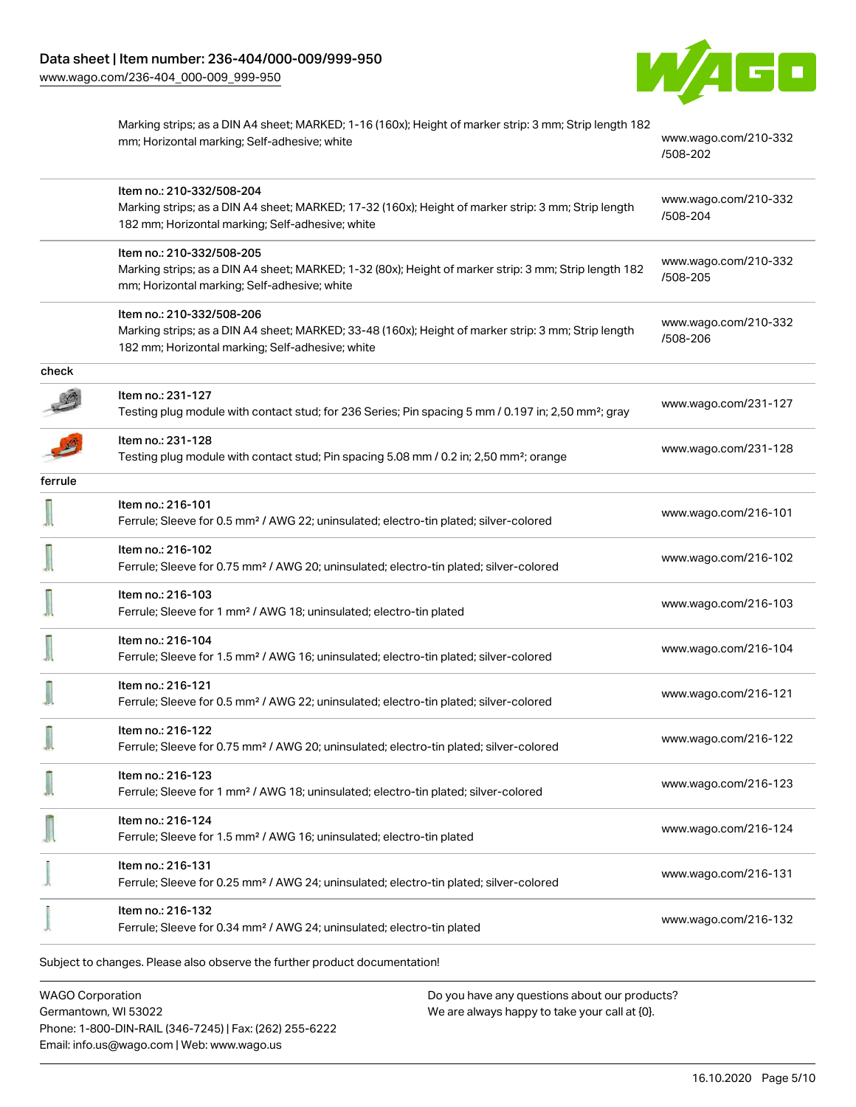[www.wago.com/236-404\\_000-009\\_999-950](http://www.wago.com/236-404_000-009_999-950)



|         | Marking strips; as a DIN A4 sheet; MARKED; 1-16 (160x); Height of marker strip: 3 mm; Strip length 182<br>mm; Horizontal marking; Self-adhesive; white                               | www.wago.com/210-332<br>/508-202 |
|---------|--------------------------------------------------------------------------------------------------------------------------------------------------------------------------------------|----------------------------------|
|         | Item no.: 210-332/508-204<br>Marking strips; as a DIN A4 sheet; MARKED; 17-32 (160x); Height of marker strip: 3 mm; Strip length<br>182 mm; Horizontal marking; Self-adhesive; white | www.wago.com/210-332<br>/508-204 |
|         | Item no.: 210-332/508-205<br>Marking strips; as a DIN A4 sheet; MARKED; 1-32 (80x); Height of marker strip: 3 mm; Strip length 182<br>mm; Horizontal marking; Self-adhesive; white   | www.wago.com/210-332<br>/508-205 |
|         | Item no.: 210-332/508-206<br>Marking strips; as a DIN A4 sheet; MARKED; 33-48 (160x); Height of marker strip: 3 mm; Strip length<br>182 mm; Horizontal marking; Self-adhesive; white | www.wago.com/210-332<br>/508-206 |
| check   |                                                                                                                                                                                      |                                  |
|         | Item no.: 231-127<br>Testing plug module with contact stud; for 236 Series; Pin spacing 5 mm / 0.197 in; 2,50 mm <sup>2</sup> ; gray                                                 | www.wago.com/231-127             |
|         | Item no.: 231-128<br>Testing plug module with contact stud; Pin spacing 5.08 mm / 0.2 in; 2,50 mm <sup>2</sup> ; orange                                                              | www.wago.com/231-128             |
| ferrule |                                                                                                                                                                                      |                                  |
|         | Item no.: 216-101<br>Ferrule; Sleeve for 0.5 mm <sup>2</sup> / AWG 22; uninsulated; electro-tin plated; silver-colored                                                               | www.wago.com/216-101             |
|         | Item no.: 216-102<br>Ferrule; Sleeve for 0.75 mm <sup>2</sup> / AWG 20; uninsulated; electro-tin plated; silver-colored                                                              | www.wago.com/216-102             |
|         | Item no.: 216-103<br>Ferrule; Sleeve for 1 mm <sup>2</sup> / AWG 18; uninsulated; electro-tin plated                                                                                 | www.wago.com/216-103             |
|         | Item no.: 216-104<br>Ferrule; Sleeve for 1.5 mm <sup>2</sup> / AWG 16; uninsulated; electro-tin plated; silver-colored                                                               | www.wago.com/216-104             |
|         | Item no.: 216-121<br>Ferrule; Sleeve for 0.5 mm <sup>2</sup> / AWG 22; uninsulated; electro-tin plated; silver-colored                                                               | www.wago.com/216-121             |
|         | Item no.: 216-122<br>Ferrule; Sleeve for 0.75 mm <sup>2</sup> / AWG 20; uninsulated; electro-tin plated; silver-colored                                                              | www.wago.com/216-122             |
|         | Item no.: 216-123<br>Ferrule; Sleeve for 1 mm <sup>2</sup> / AWG 18; uninsulated; electro-tin plated; silver-colored                                                                 | www.wago.com/216-123             |
|         | Item no.: 216-124<br>Ferrule; Sleeve for 1.5 mm <sup>2</sup> / AWG 16; uninsulated; electro-tin plated                                                                               | www.wago.com/216-124             |
|         | Item no.: 216-131<br>Ferrule; Sleeve for 0.25 mm <sup>2</sup> / AWG 24; uninsulated; electro-tin plated; silver-colored                                                              | www.wago.com/216-131             |
|         | Item no.: 216-132<br>Ferrule; Sleeve for 0.34 mm <sup>2</sup> / AWG 24; uninsulated; electro-tin plated                                                                              | www.wago.com/216-132             |

WAGO Corporation Germantown, WI 53022 Phone: 1-800-DIN-RAIL (346-7245) | Fax: (262) 255-6222 Email: info.us@wago.com | Web: www.wago.us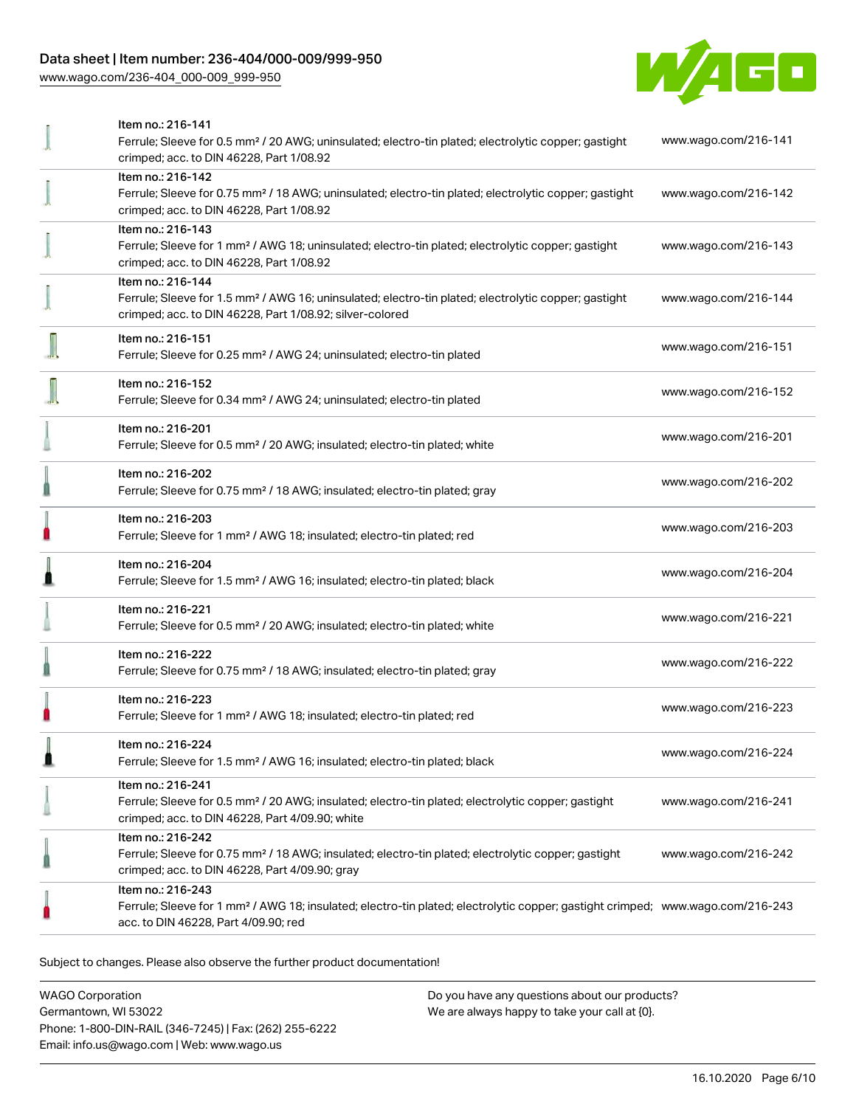# Data sheet | Item number: 236-404/000-009/999-950

[www.wago.com/236-404\\_000-009\\_999-950](http://www.wago.com/236-404_000-009_999-950)



|   | Item no.: 216-141                                                                                                                          |                      |
|---|--------------------------------------------------------------------------------------------------------------------------------------------|----------------------|
|   | Ferrule; Sleeve for 0.5 mm <sup>2</sup> / 20 AWG; uninsulated; electro-tin plated; electrolytic copper; gastight                           | www.wago.com/216-141 |
|   | crimped; acc. to DIN 46228, Part 1/08.92                                                                                                   |                      |
|   | Item no.: 216-142                                                                                                                          |                      |
|   | Ferrule; Sleeve for 0.75 mm <sup>2</sup> / 18 AWG; uninsulated; electro-tin plated; electrolytic copper; gastight                          | www.wago.com/216-142 |
|   | crimped; acc. to DIN 46228, Part 1/08.92                                                                                                   |                      |
|   | Item no.: 216-143                                                                                                                          |                      |
|   |                                                                                                                                            |                      |
|   | Ferrule; Sleeve for 1 mm <sup>2</sup> / AWG 18; uninsulated; electro-tin plated; electrolytic copper; gastight                             | www.wago.com/216-143 |
|   | crimped; acc. to DIN 46228, Part 1/08.92                                                                                                   |                      |
|   | Item no.: 216-144                                                                                                                          |                      |
|   | Ferrule; Sleeve for 1.5 mm <sup>2</sup> / AWG 16; uninsulated; electro-tin plated; electrolytic copper; gastight                           | www.wago.com/216-144 |
|   | crimped; acc. to DIN 46228, Part 1/08.92; silver-colored                                                                                   |                      |
|   | Item no.: 216-151                                                                                                                          |                      |
|   | Ferrule; Sleeve for 0.25 mm <sup>2</sup> / AWG 24; uninsulated; electro-tin plated                                                         | www.wago.com/216-151 |
|   |                                                                                                                                            |                      |
|   | Item no.: 216-152                                                                                                                          |                      |
|   | Ferrule; Sleeve for 0.34 mm <sup>2</sup> / AWG 24; uninsulated; electro-tin plated                                                         | www.wago.com/216-152 |
|   |                                                                                                                                            |                      |
|   | Item no.: 216-201                                                                                                                          | www.wago.com/216-201 |
|   | Ferrule; Sleeve for 0.5 mm <sup>2</sup> / 20 AWG; insulated; electro-tin plated; white                                                     |                      |
|   | Item no.: 216-202                                                                                                                          |                      |
|   | Ferrule; Sleeve for 0.75 mm <sup>2</sup> / 18 AWG; insulated; electro-tin plated; gray                                                     | www.wago.com/216-202 |
|   |                                                                                                                                            |                      |
|   | Item no.: 216-203                                                                                                                          |                      |
|   | Ferrule; Sleeve for 1 mm <sup>2</sup> / AWG 18; insulated; electro-tin plated; red                                                         | www.wago.com/216-203 |
|   |                                                                                                                                            |                      |
|   | Item no.: 216-204                                                                                                                          | www.wago.com/216-204 |
|   | Ferrule; Sleeve for 1.5 mm <sup>2</sup> / AWG 16; insulated; electro-tin plated; black                                                     |                      |
|   | Item no.: 216-221                                                                                                                          |                      |
|   |                                                                                                                                            | www.wago.com/216-221 |
|   | Ferrule; Sleeve for 0.5 mm <sup>2</sup> / 20 AWG; insulated; electro-tin plated; white                                                     |                      |
|   | Item no.: 216-222                                                                                                                          |                      |
|   | Ferrule; Sleeve for 0.75 mm <sup>2</sup> / 18 AWG; insulated; electro-tin plated; gray                                                     | www.wago.com/216-222 |
|   |                                                                                                                                            |                      |
|   | Item no.: 216-223                                                                                                                          |                      |
|   | Ferrule; Sleeve for 1 mm <sup>2</sup> / AWG 18; insulated; electro-tin plated; red                                                         | www.wago.com/216-223 |
|   |                                                                                                                                            |                      |
| n | Item no.: 216-224                                                                                                                          | www.wago.com/216-224 |
|   | Ferrule; Sleeve for 1.5 mm <sup>2</sup> / AWG 16; insulated; electro-tin plated; black                                                     |                      |
|   | Item no.: 216-241                                                                                                                          |                      |
|   | Ferrule; Sleeve for 0.5 mm <sup>2</sup> / 20 AWG; insulated; electro-tin plated; electrolytic copper; gastight                             | www.wago.com/216-241 |
|   | crimped; acc. to DIN 46228, Part 4/09.90; white                                                                                            |                      |
|   | Item no.: 216-242                                                                                                                          |                      |
|   | Ferrule; Sleeve for 0.75 mm <sup>2</sup> / 18 AWG; insulated; electro-tin plated; electrolytic copper; gastight                            | www.wago.com/216-242 |
|   |                                                                                                                                            |                      |
|   | crimped; acc. to DIN 46228, Part 4/09.90; gray                                                                                             |                      |
|   | Item no.: 216-243                                                                                                                          |                      |
|   | Ferrule; Sleeve for 1 mm <sup>2</sup> / AWG 18; insulated; electro-tin plated; electrolytic copper; gastight crimped; www.wago.com/216-243 |                      |
|   | acc. to DIN 46228, Part 4/09.90; red                                                                                                       |                      |
|   |                                                                                                                                            |                      |

Subject to changes. Please also observe the further product documentation!

WAGO Corporation Germantown, WI 53022 Phone: 1-800-DIN-RAIL (346-7245) | Fax: (262) 255-6222 Email: info.us@wago.com | Web: www.wago.us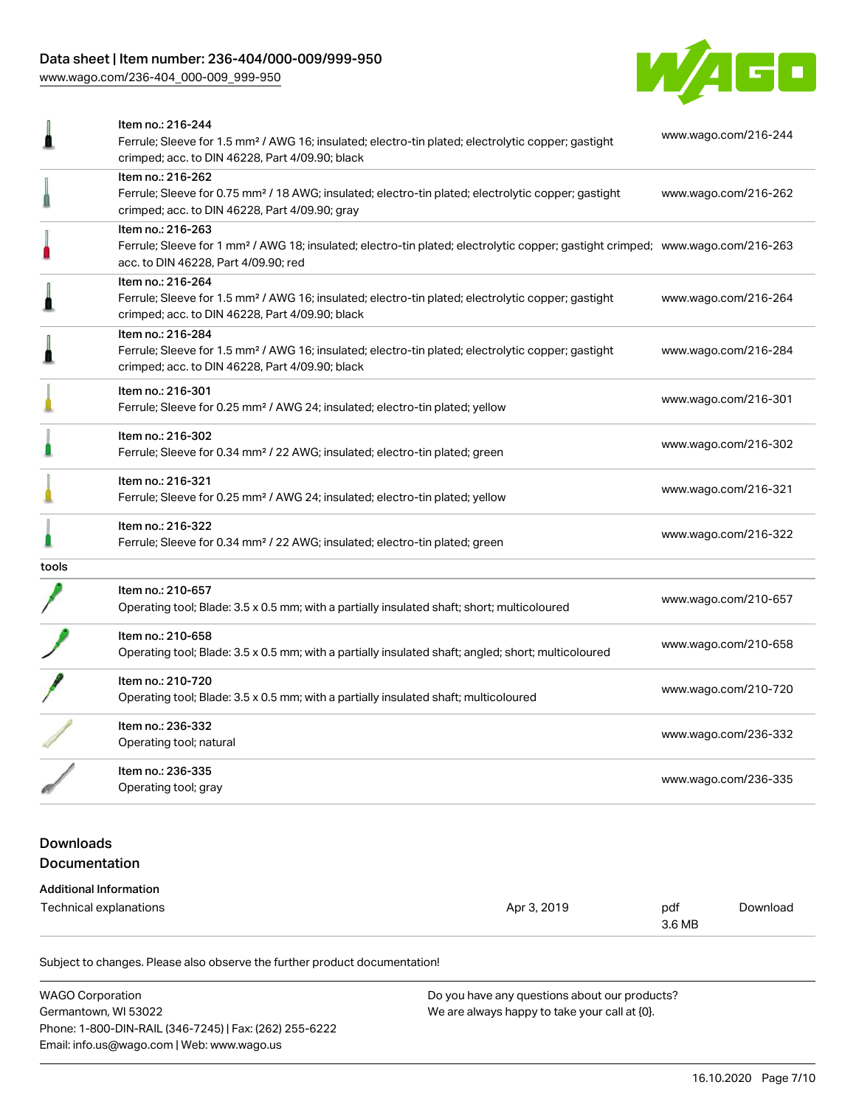# Data sheet | Item number: 236-404/000-009/999-950

[www.wago.com/236-404\\_000-009\\_999-950](http://www.wago.com/236-404_000-009_999-950)



|       | Item no.: 216-244<br>Ferrule; Sleeve for 1.5 mm <sup>2</sup> / AWG 16; insulated; electro-tin plated; electrolytic copper; gastight<br>crimped; acc. to DIN 46228, Part 4/09.90; black                  | www.wago.com/216-244 |
|-------|---------------------------------------------------------------------------------------------------------------------------------------------------------------------------------------------------------|----------------------|
|       | Item no.: 216-262<br>Ferrule; Sleeve for 0.75 mm <sup>2</sup> / 18 AWG; insulated; electro-tin plated; electrolytic copper; gastight<br>crimped; acc. to DIN 46228, Part 4/09.90; gray                  | www.wago.com/216-262 |
|       | Item no.: 216-263<br>Ferrule; Sleeve for 1 mm <sup>2</sup> / AWG 18; insulated; electro-tin plated; electrolytic copper; gastight crimped; www.wago.com/216-263<br>acc. to DIN 46228, Part 4/09.90; red |                      |
|       | Item no.: 216-264<br>Ferrule; Sleeve for 1.5 mm <sup>2</sup> / AWG 16; insulated; electro-tin plated; electrolytic copper; gastight<br>crimped; acc. to DIN 46228, Part 4/09.90; black                  | www.wago.com/216-264 |
|       | Item no.: 216-284<br>Ferrule; Sleeve for 1.5 mm <sup>2</sup> / AWG 16; insulated; electro-tin plated; electrolytic copper; gastight<br>crimped; acc. to DIN 46228, Part 4/09.90; black                  | www.wago.com/216-284 |
|       | Item no.: 216-301<br>Ferrule; Sleeve for 0.25 mm <sup>2</sup> / AWG 24; insulated; electro-tin plated; yellow                                                                                           | www.wago.com/216-301 |
|       | Item no.: 216-302<br>Ferrule; Sleeve for 0.34 mm <sup>2</sup> / 22 AWG; insulated; electro-tin plated; green                                                                                            | www.wago.com/216-302 |
|       | Item no.: 216-321<br>Ferrule; Sleeve for 0.25 mm <sup>2</sup> / AWG 24; insulated; electro-tin plated; yellow                                                                                           | www.wago.com/216-321 |
|       | Item no.: 216-322<br>Ferrule; Sleeve for 0.34 mm <sup>2</sup> / 22 AWG; insulated; electro-tin plated; green                                                                                            | www.wago.com/216-322 |
| tools |                                                                                                                                                                                                         |                      |
|       | Item no.: 210-657<br>Operating tool; Blade: 3.5 x 0.5 mm; with a partially insulated shaft; short; multicoloured                                                                                        | www.wago.com/210-657 |
|       | Item no.: 210-658<br>Operating tool; Blade: 3.5 x 0.5 mm; with a partially insulated shaft; angled; short; multicoloured                                                                                | www.wago.com/210-658 |
|       | Item no.: 210-720<br>Operating tool; Blade: 3.5 x 0.5 mm; with a partially insulated shaft; multicoloured                                                                                               | www.wago.com/210-720 |
|       | Item no.: 236-332<br>Operating tool; natural                                                                                                                                                            | www.wago.com/236-332 |
|       | Item no.: 236-335<br>Operating tool; gray                                                                                                                                                               | www.wago.com/236-335 |
|       |                                                                                                                                                                                                         |                      |

# Downloads Documentation

#### Additional Information

| Technical explanations | Apr 3, 2019 | pdf    | Download |
|------------------------|-------------|--------|----------|
|                        |             | 3.6 MB |          |

Subject to changes. Please also observe the further product documentation!

| <b>WAGO Corporation</b>                                | Do you have any questions about our products? |
|--------------------------------------------------------|-----------------------------------------------|
| Germantown, WI 53022                                   | We are always happy to take your call at {0}. |
| Phone: 1-800-DIN-RAIL (346-7245)   Fax: (262) 255-6222 |                                               |
| Email: info.us@wago.com   Web: www.wago.us             |                                               |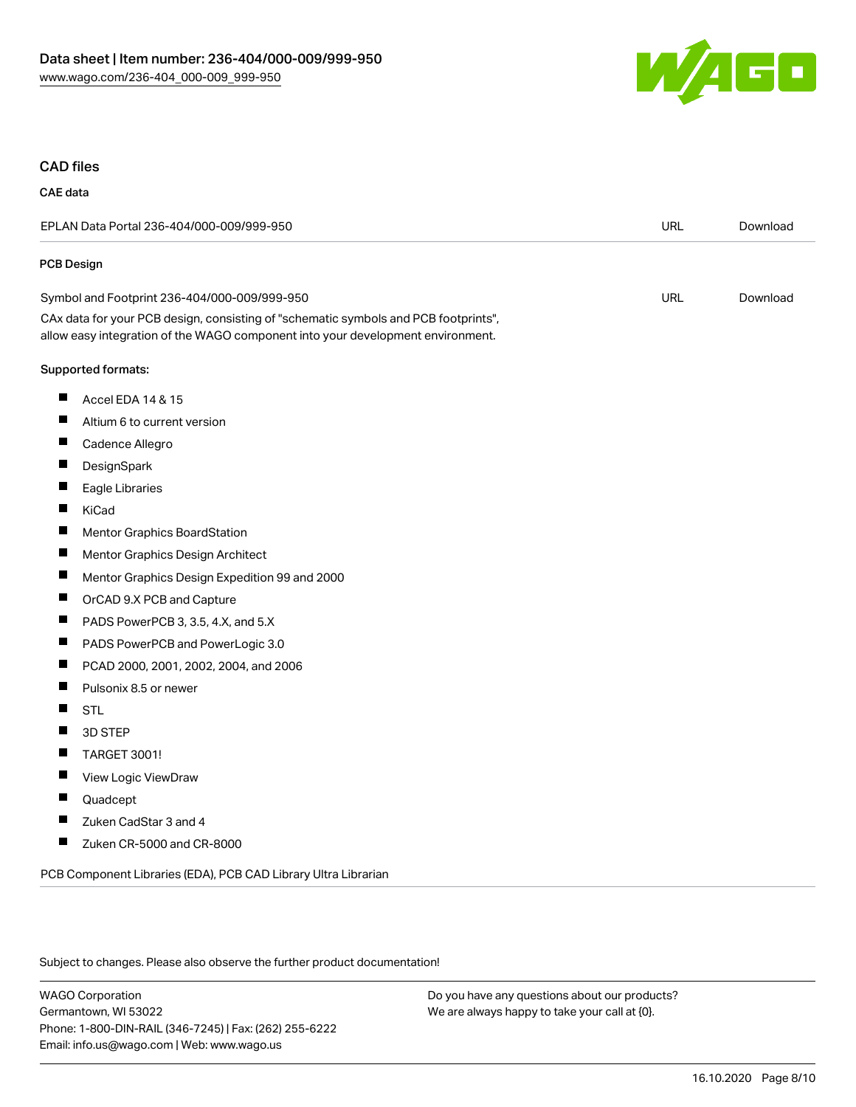

### CAD files

## CAE data

| EPLAN Data Portal 236-404/000-009/999-950                                                                                                                              |            | Download |
|------------------------------------------------------------------------------------------------------------------------------------------------------------------------|------------|----------|
| PCB Design                                                                                                                                                             |            |          |
| Symbol and Footprint 236-404/000-009/999-950                                                                                                                           | <b>URL</b> | Download |
| CAx data for your PCB design, consisting of "schematic symbols and PCB footprints",<br>allow easy integration of the WAGO component into your development environment. |            |          |
| Supported formats:                                                                                                                                                     |            |          |
| ш<br>Accel EDA 14 & 15                                                                                                                                                 |            |          |
| Altium 6 to current version                                                                                                                                            |            |          |
| ш<br>Cadence Allegro                                                                                                                                                   |            |          |
| DesignSpark                                                                                                                                                            |            |          |
| Eagle Libraries                                                                                                                                                        |            |          |
| KiCad                                                                                                                                                                  |            |          |
| П<br>Mentor Graphics BoardStation                                                                                                                                      |            |          |
| Ш<br>Mentor Graphics Design Architect                                                                                                                                  |            |          |
| ш<br>Mentor Graphics Design Expedition 99 and 2000                                                                                                                     |            |          |
| П<br>OrCAD 9.X PCB and Capture                                                                                                                                         |            |          |
| ш<br>PADS PowerPCB 3, 3.5, 4.X, and 5.X                                                                                                                                |            |          |
| ш<br>PADS PowerPCB and PowerLogic 3.0                                                                                                                                  |            |          |
| ш<br>PCAD 2000, 2001, 2002, 2004, and 2006                                                                                                                             |            |          |
| П<br>Pulsonix 8.5 or newer                                                                                                                                             |            |          |
| ш<br><b>STL</b>                                                                                                                                                        |            |          |
| П<br>3D STEP                                                                                                                                                           |            |          |
| ш<br><b>TARGET 3001!</b>                                                                                                                                               |            |          |
| Ш<br>View Logic ViewDraw                                                                                                                                               |            |          |
| Quadcept                                                                                                                                                               |            |          |
| Zuken CadStar 3 and 4<br>Ш                                                                                                                                             |            |          |
| Zuken CR-5000 and CR-8000<br>ш                                                                                                                                         |            |          |
| PCB Component Libraries (EDA), PCB CAD Library Ultra Librarian                                                                                                         |            |          |

Subject to changes. Please also observe the further product documentation!

WAGO Corporation Germantown, WI 53022 Phone: 1-800-DIN-RAIL (346-7245) | Fax: (262) 255-6222 Email: info.us@wago.com | Web: www.wago.us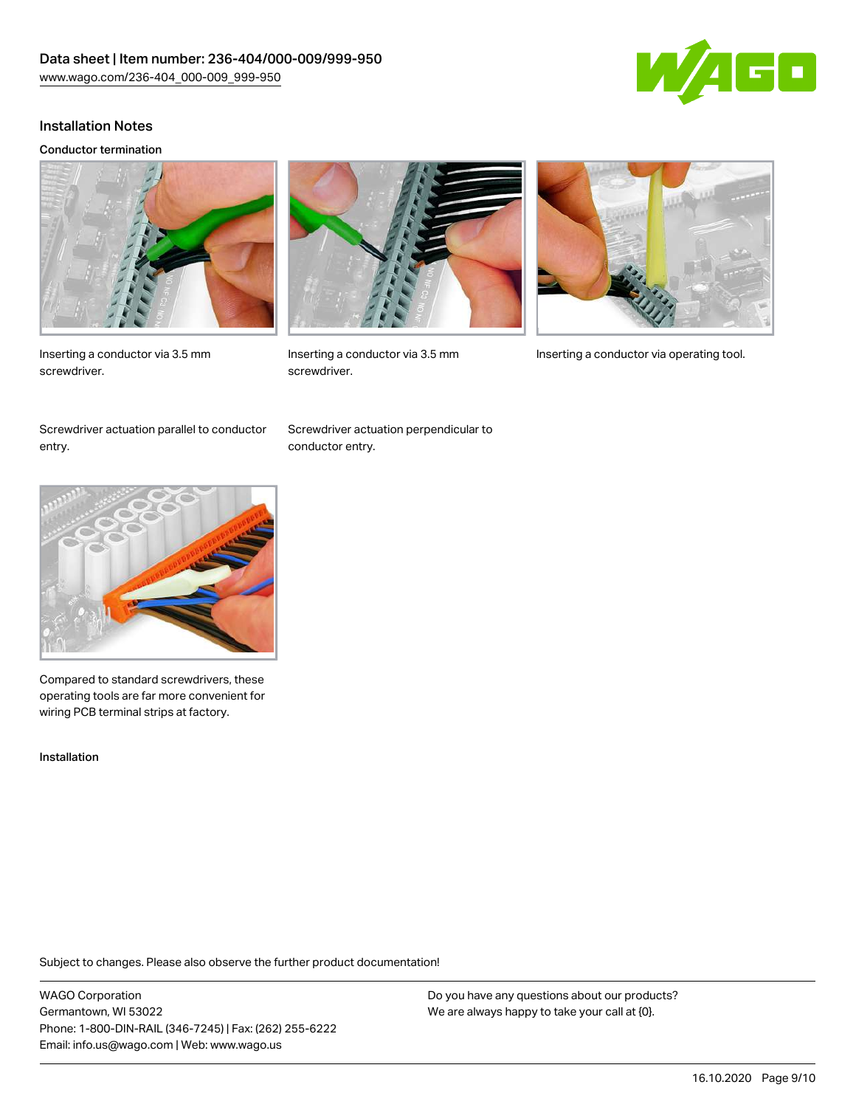

### Installation Notes

#### Conductor termination







screwdriver.



Inserting a conductor via 3.5 mm Inserting a conductor via operating tool.

Screwdriver actuation parallel to conductor entry.

Screwdriver actuation perpendicular to conductor entry.



Compared to standard screwdrivers, these operating tools are far more convenient for wiring PCB terminal strips at factory.

Installation

Subject to changes. Please also observe the further product documentation!

WAGO Corporation Germantown, WI 53022 Phone: 1-800-DIN-RAIL (346-7245) | Fax: (262) 255-6222 Email: info.us@wago.com | Web: www.wago.us